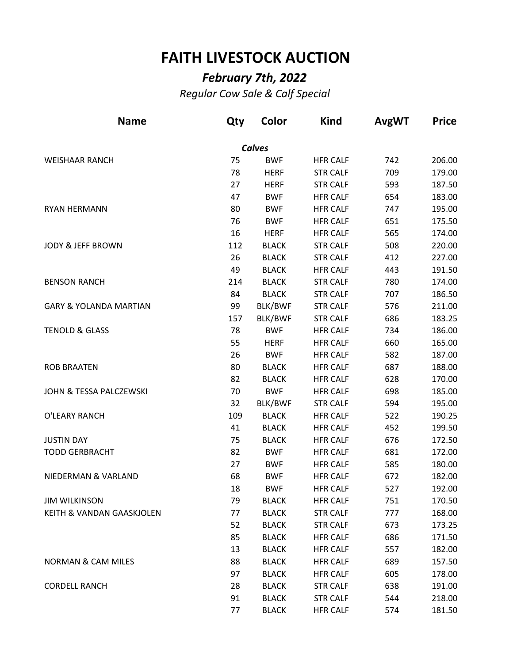## **FAITH LIVESTOCK AUCTION**

## *February 7th, 2022*

*Regular Cow Sale & Calf Special*

| <b>Name</b>                       | Qty | Color         | <b>Kind</b>     | <b>AvgWT</b> | <b>Price</b> |
|-----------------------------------|-----|---------------|-----------------|--------------|--------------|
|                                   |     | <b>Calves</b> |                 |              |              |
| <b>WEISHAAR RANCH</b>             | 75  | <b>BWF</b>    | <b>HFR CALF</b> | 742          | 206.00       |
|                                   | 78  | <b>HERF</b>   | <b>STR CALF</b> | 709          | 179.00       |
|                                   | 27  | <b>HERF</b>   | <b>STR CALF</b> | 593          | 187.50       |
|                                   | 47  | <b>BWF</b>    | <b>HFR CALF</b> | 654          | 183.00       |
| <b>RYAN HERMANN</b>               | 80  | <b>BWF</b>    | <b>HFR CALF</b> | 747          | 195.00       |
|                                   | 76  | <b>BWF</b>    | <b>HFR CALF</b> | 651          | 175.50       |
|                                   | 16  | <b>HERF</b>   | <b>HFR CALF</b> | 565          | 174.00       |
| <b>JODY &amp; JEFF BROWN</b>      | 112 | <b>BLACK</b>  | <b>STR CALF</b> | 508          | 220.00       |
|                                   | 26  | <b>BLACK</b>  | <b>STR CALF</b> | 412          | 227.00       |
|                                   | 49  | <b>BLACK</b>  | <b>HFR CALF</b> | 443          | 191.50       |
| <b>BENSON RANCH</b>               | 214 | <b>BLACK</b>  | <b>STR CALF</b> | 780          | 174.00       |
|                                   | 84  | <b>BLACK</b>  | <b>STR CALF</b> | 707          | 186.50       |
| <b>GARY &amp; YOLANDA MARTIAN</b> | 99  | BLK/BWF       | <b>STR CALF</b> | 576          | 211.00       |
|                                   | 157 | BLK/BWF       | <b>STR CALF</b> | 686          | 183.25       |
| <b>TENOLD &amp; GLASS</b>         | 78  | <b>BWF</b>    | <b>HFR CALF</b> | 734          | 186.00       |
|                                   | 55  | <b>HERF</b>   | <b>HFR CALF</b> | 660          | 165.00       |
|                                   | 26  | <b>BWF</b>    | <b>HFR CALF</b> | 582          | 187.00       |
| <b>ROB BRAATEN</b>                | 80  | <b>BLACK</b>  | <b>HFR CALF</b> | 687          | 188.00       |
|                                   | 82  | <b>BLACK</b>  | <b>HFR CALF</b> | 628          | 170.00       |
| JOHN & TESSA PALCZEWSKI           | 70  | <b>BWF</b>    | <b>HFR CALF</b> | 698          | 185.00       |
|                                   | 32  | BLK/BWF       | <b>STR CALF</b> | 594          | 195.00       |
| O'LEARY RANCH                     | 109 | <b>BLACK</b>  | <b>HFR CALF</b> | 522          | 190.25       |
|                                   | 41  | <b>BLACK</b>  | <b>HFR CALF</b> | 452          | 199.50       |
| <b>JUSTIN DAY</b>                 | 75  | <b>BLACK</b>  | <b>HFR CALF</b> | 676          | 172.50       |
| <b>TODD GERBRACHT</b>             | 82  | <b>BWF</b>    | <b>HFR CALF</b> | 681          | 172.00       |
|                                   | 27  | <b>BWF</b>    | <b>HFR CALF</b> | 585          | 180.00       |
| NIEDERMAN & VARLAND               | 68  | <b>BWF</b>    | <b>HFR CALF</b> | 672          | 182.00       |
|                                   | 18  | <b>BWF</b>    | <b>HFR CALF</b> | 527          | 192.00       |
| <b>JIM WILKINSON</b>              | 79  | <b>BLACK</b>  | <b>HFR CALF</b> | 751          | 170.50       |
| KEITH & VANDAN GAASKJOLEN         | 77  | <b>BLACK</b>  | <b>STR CALF</b> | 777          | 168.00       |
|                                   | 52  | <b>BLACK</b>  | <b>STR CALF</b> | 673          | 173.25       |
|                                   | 85  | <b>BLACK</b>  | <b>HFR CALF</b> | 686          | 171.50       |
|                                   | 13  | <b>BLACK</b>  | <b>HFR CALF</b> | 557          | 182.00       |
| <b>NORMAN &amp; CAM MILES</b>     | 88  | <b>BLACK</b>  | <b>HFR CALF</b> | 689          | 157.50       |
|                                   | 97  | <b>BLACK</b>  | <b>HFR CALF</b> | 605          | 178.00       |
| <b>CORDELL RANCH</b>              | 28  | <b>BLACK</b>  | <b>STR CALF</b> | 638          | 191.00       |
|                                   | 91  | <b>BLACK</b>  | <b>STR CALF</b> | 544          | 218.00       |
|                                   | 77  | <b>BLACK</b>  | <b>HFR CALF</b> | 574          | 181.50       |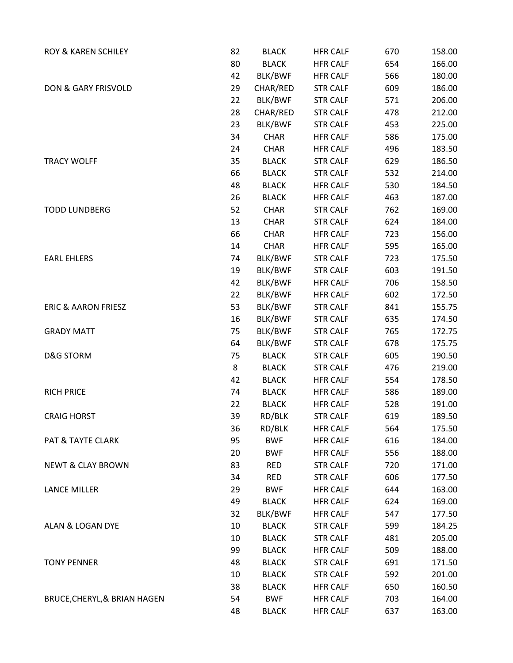| ROY & KAREN SCHILEY            | 82 | <b>BLACK</b>   | <b>HFR CALF</b> | 670 | 158.00 |
|--------------------------------|----|----------------|-----------------|-----|--------|
|                                | 80 | <b>BLACK</b>   | <b>HFR CALF</b> | 654 | 166.00 |
|                                | 42 | BLK/BWF        | <b>HFR CALF</b> | 566 | 180.00 |
| DON & GARY FRISVOLD            | 29 | CHAR/RED       | <b>STR CALF</b> | 609 | 186.00 |
|                                | 22 | BLK/BWF        | <b>STR CALF</b> | 571 | 206.00 |
|                                | 28 | CHAR/RED       | <b>STR CALF</b> | 478 | 212.00 |
|                                | 23 | BLK/BWF        | <b>STR CALF</b> | 453 | 225.00 |
|                                | 34 | <b>CHAR</b>    | <b>HFR CALF</b> | 586 | 175.00 |
|                                | 24 | <b>CHAR</b>    | <b>HFR CALF</b> | 496 | 183.50 |
| <b>TRACY WOLFF</b>             | 35 | <b>BLACK</b>   | <b>STR CALF</b> | 629 | 186.50 |
|                                | 66 | <b>BLACK</b>   | <b>STR CALF</b> | 532 | 214.00 |
|                                | 48 | <b>BLACK</b>   | <b>HFR CALF</b> | 530 | 184.50 |
|                                | 26 | <b>BLACK</b>   | <b>HFR CALF</b> | 463 | 187.00 |
| <b>TODD LUNDBERG</b>           | 52 | <b>CHAR</b>    | <b>STR CALF</b> | 762 | 169.00 |
|                                | 13 | <b>CHAR</b>    | <b>STR CALF</b> | 624 | 184.00 |
|                                | 66 | <b>CHAR</b>    | <b>HFR CALF</b> | 723 | 156.00 |
|                                | 14 | <b>CHAR</b>    | <b>HFR CALF</b> | 595 | 165.00 |
| <b>EARL EHLERS</b>             | 74 | BLK/BWF        | <b>STR CALF</b> | 723 | 175.50 |
|                                | 19 | BLK/BWF        | <b>STR CALF</b> | 603 | 191.50 |
|                                | 42 | BLK/BWF        | <b>HFR CALF</b> | 706 | 158.50 |
|                                | 22 | BLK/BWF        | <b>HFR CALF</b> | 602 | 172.50 |
| <b>ERIC &amp; AARON FRIESZ</b> | 53 | BLK/BWF        | <b>STR CALF</b> | 841 | 155.75 |
|                                | 16 | BLK/BWF        | <b>STR CALF</b> | 635 | 174.50 |
| <b>GRADY MATT</b>              | 75 | BLK/BWF        | <b>STR CALF</b> | 765 | 172.75 |
|                                | 64 | BLK/BWF        | <b>STR CALF</b> | 678 | 175.75 |
| <b>D&amp;G STORM</b>           | 75 | <b>BLACK</b>   | <b>STR CALF</b> | 605 | 190.50 |
|                                | 8  | <b>BLACK</b>   | <b>STR CALF</b> | 476 | 219.00 |
|                                | 42 | <b>BLACK</b>   | <b>HFR CALF</b> | 554 | 178.50 |
| <b>RICH PRICE</b>              | 74 | <b>BLACK</b>   | <b>HFR CALF</b> | 586 | 189.00 |
|                                | 22 | <b>BLACK</b>   | <b>HFR CALF</b> | 528 | 191.00 |
| <b>CRAIG HORST</b>             | 39 | RD/BLK         | <b>STR CALF</b> | 619 | 189.50 |
|                                | 36 | RD/BLK         | <b>HFR CALF</b> | 564 | 175.50 |
| PAT & TAYTE CLARK              | 95 | <b>BWF</b>     | <b>HFR CALF</b> | 616 | 184.00 |
|                                | 20 | <b>BWF</b>     | <b>HFR CALF</b> | 556 | 188.00 |
| <b>NEWT &amp; CLAY BROWN</b>   | 83 | <b>RED</b>     | <b>STR CALF</b> | 720 | 171.00 |
|                                | 34 | <b>RED</b>     | <b>STR CALF</b> | 606 | 177.50 |
| LANCE MILLER                   | 29 | <b>BWF</b>     | <b>HFR CALF</b> | 644 | 163.00 |
|                                | 49 | <b>BLACK</b>   | <b>HFR CALF</b> | 624 | 169.00 |
|                                | 32 | <b>BLK/BWF</b> | <b>HFR CALF</b> | 547 | 177.50 |
| ALAN & LOGAN DYE               | 10 | <b>BLACK</b>   | <b>STR CALF</b> | 599 | 184.25 |
|                                | 10 | <b>BLACK</b>   | <b>STR CALF</b> | 481 | 205.00 |
|                                | 99 | <b>BLACK</b>   | <b>HFR CALF</b> | 509 | 188.00 |
| <b>TONY PENNER</b>             | 48 | <b>BLACK</b>   | <b>STR CALF</b> | 691 | 171.50 |
|                                | 10 | <b>BLACK</b>   | <b>STR CALF</b> | 592 | 201.00 |
|                                | 38 | <b>BLACK</b>   | <b>HFR CALF</b> | 650 | 160.50 |
| BRUCE, CHERYL, & BRIAN HAGEN   | 54 | <b>BWF</b>     | <b>HFR CALF</b> | 703 | 164.00 |
|                                | 48 | <b>BLACK</b>   | <b>HFR CALF</b> | 637 | 163.00 |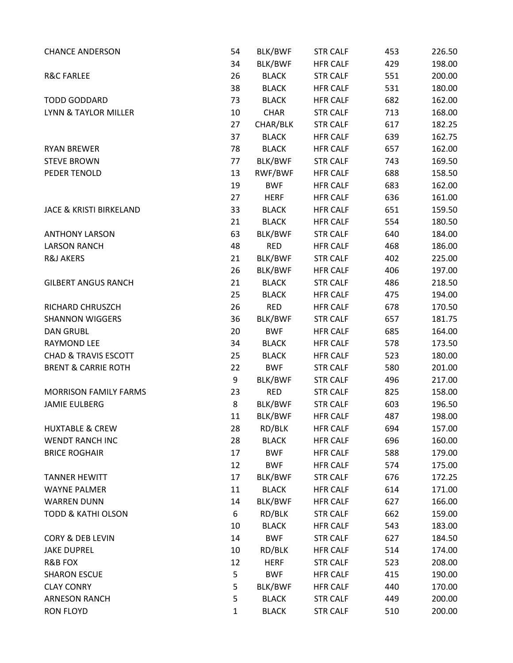| <b>CHANCE ANDERSON</b>             | 54           | BLK/BWF      | <b>STR CALF</b> | 453 | 226.50 |
|------------------------------------|--------------|--------------|-----------------|-----|--------|
|                                    | 34           | BLK/BWF      | <b>HFR CALF</b> | 429 | 198.00 |
| <b>R&amp;C FARLEE</b>              | 26           | <b>BLACK</b> | <b>STR CALF</b> | 551 | 200.00 |
|                                    | 38           | <b>BLACK</b> | <b>HFR CALF</b> | 531 | 180.00 |
| <b>TODD GODDARD</b>                | 73           | <b>BLACK</b> | <b>HFR CALF</b> | 682 | 162.00 |
| LYNN & TAYLOR MILLER               | 10           | <b>CHAR</b>  | <b>STR CALF</b> | 713 | 168.00 |
|                                    | 27           | CHAR/BLK     | <b>STR CALF</b> | 617 | 182.25 |
|                                    | 37           | <b>BLACK</b> | <b>HFR CALF</b> | 639 | 162.75 |
| <b>RYAN BREWER</b>                 | 78           | <b>BLACK</b> | <b>HFR CALF</b> | 657 | 162.00 |
| <b>STEVE BROWN</b>                 | 77           | BLK/BWF      | <b>STR CALF</b> | 743 | 169.50 |
| PEDER TENOLD                       | 13           | RWF/BWF      | <b>HFR CALF</b> | 688 | 158.50 |
|                                    | 19           | <b>BWF</b>   | <b>HFR CALF</b> | 683 | 162.00 |
|                                    | 27           | <b>HERF</b>  | <b>HFR CALF</b> | 636 | 161.00 |
| <b>JACE &amp; KRISTI BIRKELAND</b> | 33           | <b>BLACK</b> | <b>HFR CALF</b> | 651 | 159.50 |
|                                    | 21           | <b>BLACK</b> | <b>HFR CALF</b> | 554 | 180.50 |
| <b>ANTHONY LARSON</b>              | 63           | BLK/BWF      | <b>STR CALF</b> | 640 | 184.00 |
| <b>LARSON RANCH</b>                | 48           | <b>RED</b>   | <b>HFR CALF</b> | 468 | 186.00 |
| <b>R&amp;J AKERS</b>               | 21           | BLK/BWF      | <b>STR CALF</b> | 402 | 225.00 |
|                                    | 26           | BLK/BWF      | <b>HFR CALF</b> | 406 | 197.00 |
| <b>GILBERT ANGUS RANCH</b>         | 21           | <b>BLACK</b> | <b>STR CALF</b> | 486 | 218.50 |
|                                    | 25           | <b>BLACK</b> | <b>HFR CALF</b> | 475 | 194.00 |
| RICHARD CHRUSZCH                   | 26           | <b>RED</b>   | <b>HFR CALF</b> | 678 | 170.50 |
| <b>SHANNON WIGGERS</b>             | 36           | BLK/BWF      | <b>STR CALF</b> | 657 | 181.75 |
| <b>DAN GRUBL</b>                   | 20           | <b>BWF</b>   | <b>HFR CALF</b> | 685 | 164.00 |
| <b>RAYMOND LEE</b>                 | 34           | <b>BLACK</b> | <b>HFR CALF</b> | 578 | 173.50 |
| <b>CHAD &amp; TRAVIS ESCOTT</b>    | 25           | <b>BLACK</b> | <b>HFR CALF</b> | 523 | 180.00 |
| <b>BRENT &amp; CARRIE ROTH</b>     | 22           | <b>BWF</b>   | <b>STR CALF</b> | 580 | 201.00 |
|                                    | 9            | BLK/BWF      | <b>STR CALF</b> | 496 | 217.00 |
| <b>MORRISON FAMILY FARMS</b>       | 23           | <b>RED</b>   | <b>STR CALF</b> | 825 | 158.00 |
| <b>JAMIE EULBERG</b>               | 8            | BLK/BWF      | <b>STR CALF</b> | 603 | 196.50 |
|                                    | 11           | BLK/BWF      | <b>HFR CALF</b> | 487 | 198.00 |
| <b>HUXTABLE &amp; CREW</b>         | 28           | RD/BLK       | <b>HFR CALF</b> | 694 | 157.00 |
| <b>WENDT RANCH INC</b>             | 28           | <b>BLACK</b> | <b>HFR CALF</b> | 696 | 160.00 |
| <b>BRICE ROGHAIR</b>               | 17           | <b>BWF</b>   | <b>HFR CALF</b> | 588 | 179.00 |
|                                    | 12           | <b>BWF</b>   | <b>HFR CALF</b> | 574 | 175.00 |
| <b>TANNER HEWITT</b>               | 17           | BLK/BWF      | <b>STR CALF</b> | 676 | 172.25 |
| <b>WAYNE PALMER</b>                | 11           | <b>BLACK</b> | <b>HFR CALF</b> | 614 | 171.00 |
| <b>WARREN DUNN</b>                 | 14           | BLK/BWF      | <b>HFR CALF</b> | 627 | 166.00 |
| <b>TODD &amp; KATHI OLSON</b>      | 6            | RD/BLK       | <b>STR CALF</b> | 662 | 159.00 |
|                                    | 10           | <b>BLACK</b> | <b>HFR CALF</b> | 543 | 183.00 |
| <b>CORY &amp; DEB LEVIN</b>        | 14           | <b>BWF</b>   | <b>STR CALF</b> | 627 | 184.50 |
| <b>JAKE DUPREL</b>                 | 10           | RD/BLK       | <b>HFR CALF</b> | 514 | 174.00 |
| R&B FOX                            | 12           | <b>HERF</b>  | <b>STR CALF</b> | 523 | 208.00 |
| <b>SHARON ESCUE</b>                | 5            | <b>BWF</b>   | <b>HFR CALF</b> | 415 | 190.00 |
| <b>CLAY CONRY</b>                  | 5            | BLK/BWF      | <b>HFR CALF</b> | 440 | 170.00 |
| <b>ARNESON RANCH</b>               | 5            | <b>BLACK</b> | <b>STR CALF</b> | 449 | 200.00 |
| <b>RON FLOYD</b>                   | $\mathbf{1}$ | <b>BLACK</b> | <b>STR CALF</b> | 510 | 200.00 |